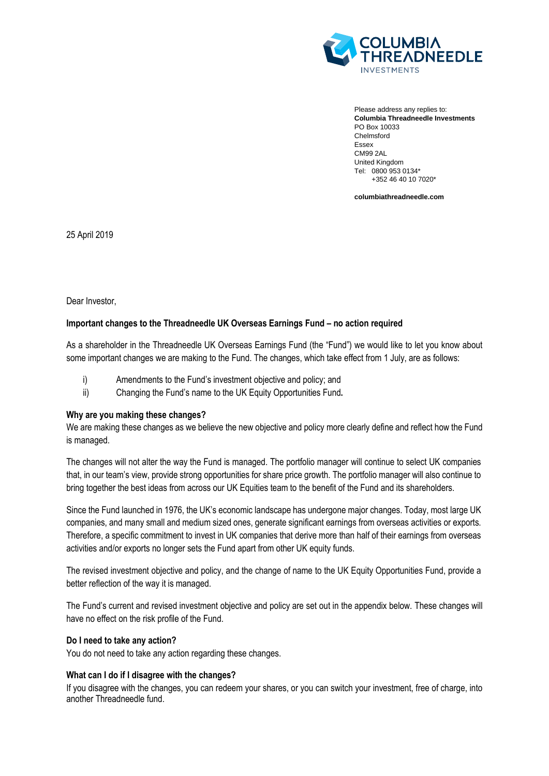

Please address any replies to: **Columbia Threadneedle Investments** PO Box 10033 Chelmsford Essex CM99 2AL United Kingdom Tel: 0800 953 0134\* +352 46 40 10 7020\*

**columbiathreadneedle.com**

25 April 2019

Dear Investor,

# **Important changes to the Threadneedle UK Overseas Earnings Fund – no action required**

As a shareholder in the Threadneedle UK Overseas Earnings Fund (the "Fund") we would like to let you know about some important changes we are making to the Fund. The changes, which take effect from 1 July, are as follows:

- i) Amendments to the Fund's investment objective and policy; and
- ii) Changing the Fund's name to the UK Equity Opportunities Fund**.**

#### **Why are you making these changes?**

We are making these changes as we believe the new objective and policy more clearly define and reflect how the Fund is managed.

The changes will not alter the way the Fund is managed. The portfolio manager will continue to select UK companies that, in our team's view, provide strong opportunities for share price growth. The portfolio manager will also continue to bring together the best ideas from across our UK Equities team to the benefit of the Fund and its shareholders.

Since the Fund launched in 1976, the UK's economic landscape has undergone major changes. Today, most large UK companies, and many small and medium sized ones, generate significant earnings from overseas activities or exports. Therefore, a specific commitment to invest in UK companies that derive more than half of their earnings from overseas activities and/or exports no longer sets the Fund apart from other UK equity funds.

The revised investment objective and policy, and the change of name to the UK Equity Opportunities Fund, provide a better reflection of the way it is managed.

The Fund's current and revised investment objective and policy are set out in the appendix below. These changes will have no effect on the risk profile of the Fund.

# **Do I need to take any action?**

You do not need to take any action regarding these changes.

# **What can I do if I disagree with the changes?**

If you disagree with the changes, you can redeem your shares, or you can switch your investment, free of charge, into another Threadneedle fund.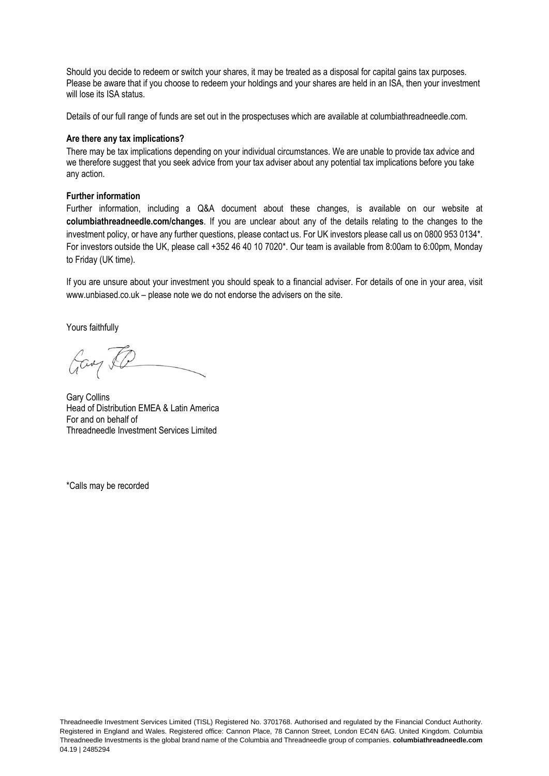Should you decide to redeem or switch your shares, it may be treated as a disposal for capital gains tax purposes. Please be aware that if you choose to redeem your holdings and your shares are held in an ISA, then your investment will lose its ISA status.

Details of our full range of funds are set out in the prospectuses which are available at columbiathreadneedle.com.

#### **Are there any tax implications?**

There may be tax implications depending on your individual circumstances. We are unable to provide tax advice and we therefore suggest that you seek advice from your tax adviser about any potential tax implications before you take any action.

#### **Further information**

Further information, including a Q&A document about these changes, is available on our website at **columbiathreadneedle.com/changes**. If you are unclear about any of the details relating to the changes to the investment policy, or have any further questions, please contact us. For UK investors please call us on 0800 953 0134\*. For investors outside the UK, please call +352 46 40 10 7020\*. Our team is available from 8:00am to 6:00pm, Monday to Friday (UK time).

If you are unsure about your investment you should speak to a financial adviser. For details of one in your area, visit www.unbiased.co.uk – please note we do not endorse the advisers on the site.

Yours faithfully

Gay &

Gary Collins Head of Distribution EMEA & Latin America For and on behalf of Threadneedle Investment Services Limited

\*Calls may be recorded